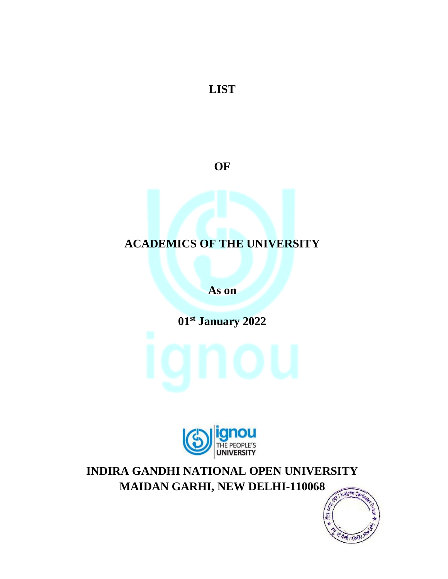**LIST** 

**OF**

### **ACADEMICS OF THE UNIVERSITY**

**As on**

**01st January 2022**





**INDIRA GANDHI NATIONAL OPEN UNIVERSITY MAIDAN GARHI, NEW DELHI-110068**

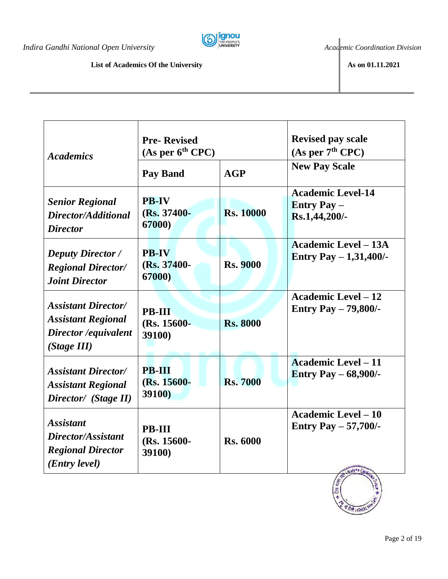*Indira Gandhi National Open University CO COO INDICAL COOLES <i>Academic Coordination Division* 



### **List of Academics Of the University As on 01.11.2021**

| <b>Academics</b>                                                                                | <b>Pre-Revised</b><br>(As per 6 <sup>th</sup> CPC)<br><b>Pay Band</b> | AGP              | <b>Revised pay scale</b><br>(As per $7th$ CPC)<br><b>New Pay Scale</b> |
|-------------------------------------------------------------------------------------------------|-----------------------------------------------------------------------|------------------|------------------------------------------------------------------------|
| <b>Senior Regional</b><br>Director/Additional<br><b>Director</b>                                | <b>PB-IV</b><br>(Rs. 37400-<br>67000)                                 | <b>Rs. 10000</b> | <b>Academic Level-14</b><br><b>Entry Pay –</b><br>Rs.1,44,200/-        |
| <b>Deputy Director</b> /<br><b>Regional Director/</b><br><b>Joint Director</b>                  | <b>PB-IV</b><br>(Rs. 37400-<br>67000)                                 | <b>Rs. 9000</b>  | <b>Academic Level – 13A</b><br>Entry Pay $-1,31,400/$ -                |
| <b>Assistant Director/</b><br><b>Assistant Regional</b><br>Director / equivalent<br>(Stage III) | <b>PB-III</b><br>(Rs. 15600-<br>39100)                                | <b>Rs. 8000</b>  | <b>Academic Level - 12</b><br>Entry Pay $-79,800/$ -                   |
| <b>Assistant Director/</b><br><b>Assistant Regional</b><br>Director/ (Stage II)                 | <b>PB-III</b><br>(Rs. 15600-<br><b>39100)</b>                         | <b>Rs. 7000</b>  | <b>Academic Level - 11</b><br><b>Entry Pay - 68,900/-</b>              |
| <i><b>Assistant</b></i><br>Director/Assistant<br><b>Regional Director</b><br>(Entry level)      | <b>PB-III</b><br>(Rs. 15600-<br><b>39100)</b>                         | <b>Rs. 6000</b>  | <b>Academic Level - 10</b><br><b>Entry Pay <math>-57,700/</math>-</b>  |

15

 $R + 100$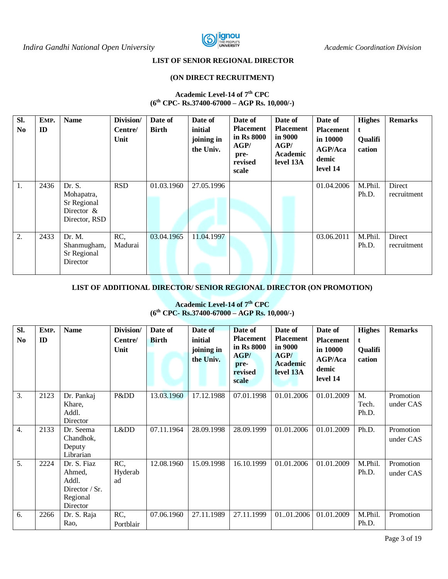

### **LIST OF SENIOR REGIONAL DIRECTOR**

#### **(ON DIRECT RECRUITMENT)**

#### **Academic Level-14 of 7th CPC (6th CPC- Rs.37400-67000 – AGP Rs. 10,000/-)**

| SI.<br>N <sub>0</sub> | EMP.<br>$\mathbf{ID}$ | <b>Name</b>                                                           | Division/<br>Centre/<br>Unit | Date of<br><b>Birth</b> | Date of<br>initial<br>joining in<br>the Univ. | Date of<br><b>Placement</b><br>in Rs 8000<br>AGP/<br>pre-<br>revised<br>scale | Date of<br><b>Placement</b><br>in 9000<br>AGP/<br><b>Academic</b><br>level 13A | Date of<br><b>Placement</b><br>in 10000<br>AGP/Aca<br>demic<br>level 14 | <b>Highes</b><br>t<br>Qualifi<br>cation | <b>Remarks</b>        |
|-----------------------|-----------------------|-----------------------------------------------------------------------|------------------------------|-------------------------|-----------------------------------------------|-------------------------------------------------------------------------------|--------------------------------------------------------------------------------|-------------------------------------------------------------------------|-----------------------------------------|-----------------------|
| 1.                    | 2436                  | Dr. S.<br>Mohapatra,<br>Sr Regional<br>Director $\&$<br>Director, RSD | <b>RSD</b>                   | 01.03.1960              | 27.05.1996                                    |                                                                               |                                                                                | 01.04.2006                                                              | M.Phil.<br>Ph.D.                        | Direct<br>recruitment |
| 2.                    | 2433                  | Dr. M.<br>Shanmugham,<br>Sr Regional<br>Director                      | RC,<br>Madurai               | 03.04.1965              | 11.04.1997                                    |                                                                               |                                                                                | 03.06.2011                                                              | M.Phil.<br>Ph.D.                        | Direct<br>recruitment |

### **LIST OF ADDITIONAL DIRECTOR/ SENIOR REGIONAL DIRECTOR (ON PROMOTION)**

| SI.<br>N <sub>0</sub> | EMP.<br>ID | <b>Name</b>                                                                | Division/<br>Centre/<br>Unit | Date of<br><b>Birth</b> | Date of<br>initial<br>joining in<br>the Univ. | Date of<br><b>Placement</b><br>in Rs 8000<br>AGP/<br>pre-<br>revised<br>scale | Date of<br><b>Placement</b><br>in 9000<br>AGP/<br><b>Academic</b><br>level 13A | Date of<br><b>Placement</b><br>in 10000<br><b>AGP/Aca</b><br>demic<br>level 14 | <b>Highes</b><br>t<br>Qualifi<br>cation | <b>Remarks</b>         |
|-----------------------|------------|----------------------------------------------------------------------------|------------------------------|-------------------------|-----------------------------------------------|-------------------------------------------------------------------------------|--------------------------------------------------------------------------------|--------------------------------------------------------------------------------|-----------------------------------------|------------------------|
| 3.                    | 2123       | Dr. Pankaj<br>Khare,<br>Addl.<br>Director                                  | Pⅅ                           | 13.03.1960              | 17.12.1988                                    | 07.01.1998                                                                    | 01.01.2006                                                                     | 01.01.2009                                                                     | M.<br>Tech.<br>Ph.D.                    | Promotion<br>under CAS |
| 4.                    | 2133       | Dr. Seema<br>Chandhok,<br>Deputy<br>Librarian                              | Lⅅ                           | 07.11.1964              | 28.09.1998                                    | 28.09.1999                                                                    | 01.01.2006                                                                     | 01.01.2009                                                                     | Ph.D.                                   | Promotion<br>under CAS |
| 5.                    | 2224       | Dr. S. Fiaz<br>Ahmed.<br>Addl.<br>Director $/$ Sr.<br>Regional<br>Director | RC,<br>Hyderab<br>ad         | 12.08.1960              | 15.09.1998                                    | 16.10.1999                                                                    | 01.01.2006                                                                     | 01.01.2009                                                                     | M.Phil.<br>Ph.D.                        | Promotion<br>under CAS |
| 6.                    | 2266       | Dr. S. Raja<br>Rao,                                                        | RC,<br>Portblair             | 07.06.1960              | 27.11.1989                                    | 27.11.1999                                                                    | 0101.2006                                                                      | 01.01.2009                                                                     | M.Phil.<br>Ph.D.                        | Promotion              |

### **Academic Level-14 of 7th CPC (6th CPC- Rs.37400-67000 – AGP Rs. 10,000/-)**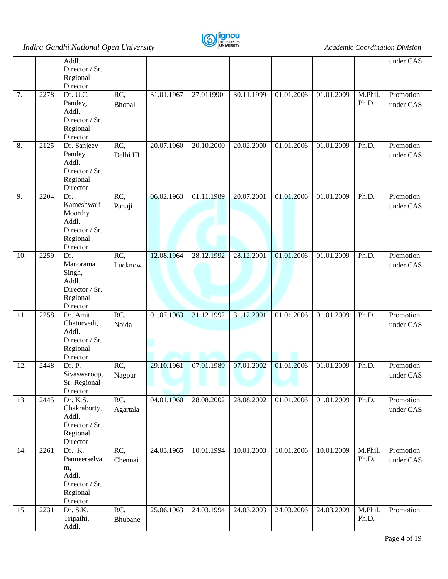

|     |      | Addl.                            |           |            |            |            |            |                          |         | under CAS |
|-----|------|----------------------------------|-----------|------------|------------|------------|------------|--------------------------|---------|-----------|
|     |      | Director / Sr.<br>Regional       |           |            |            |            |            |                          |         |           |
|     |      | Director                         |           |            |            |            |            |                          |         |           |
| 7.  | 2278 | Dr. $U.\overline{C}$ .           | RC,       | 31.01.1967 | 27.011990  | 30.11.1999 | 01.01.2006 | 01.01.2009               | M.Phil. | Promotion |
|     |      | Pandey,                          | Bhopal    |            |            |            |            |                          | Ph.D.   | under CAS |
|     |      | Addl.                            |           |            |            |            |            |                          |         |           |
|     |      | Director / Sr.<br>Regional       |           |            |            |            |            |                          |         |           |
|     |      | Director                         |           |            |            |            |            |                          |         |           |
| 8.  | 2125 | Dr. Sanjeev                      | RC,       | 20.07.1960 | 20.10.2000 | 20.02.2000 | 01.01.2006 | 01.01.2009               | Ph.D.   | Promotion |
|     |      | Pandey                           | Delhi III |            |            |            |            |                          |         | under CAS |
|     |      | Addl.                            |           |            |            |            |            |                          |         |           |
|     |      | Director / Sr.                   |           |            |            |            |            |                          |         |           |
|     |      | Regional<br>Director             |           |            |            |            |            |                          |         |           |
| 9.  | 2204 | Dr.                              | RC,       | 06.02.1963 | 01.11.1989 | 20.07.2001 | 01.01.2006 | 01.01.2009               | Ph.D.   | Promotion |
|     |      | Kameshwari                       | Panaji    |            |            |            |            |                          |         | under CAS |
|     |      | Moorthy                          |           |            |            |            |            |                          |         |           |
|     |      | Addl.                            |           |            |            |            |            |                          |         |           |
|     |      | Director / Sr.                   |           |            |            |            |            |                          |         |           |
|     |      | Regional<br>Director             |           |            |            |            |            |                          |         |           |
| 10. | 2259 | Dr.                              | RC,       | 12.08.1964 | 28.12.1992 | 28.12.2001 | 01.01.2006 | 01.01.2009               | Ph.D.   | Promotion |
|     |      | Manorama                         | Lucknow   |            |            |            |            |                          |         | under CAS |
|     |      | Singh,                           |           |            |            |            |            |                          |         |           |
|     |      | Addl.<br>Director / Sr.          |           |            |            |            |            |                          |         |           |
|     |      | Regional                         |           |            |            |            |            |                          |         |           |
|     |      | Director                         |           |            |            |            |            |                          |         |           |
| 11. | 2258 | Dr. Amit                         | RC,       | 01.07.1963 | 31.12.1992 | 31.12.2001 | 01.01.2006 | 01.01.2009               | Ph.D.   | Promotion |
|     |      | Chaturvedi,                      | Noida     |            |            |            |            |                          |         | under CAS |
|     |      | Addl.<br>Director / Sr.          |           |            |            |            |            |                          |         |           |
|     |      | Regional                         |           |            |            |            |            |                          |         |           |
|     |      | Director                         |           |            |            |            |            |                          |         |           |
| 12. | 2448 | Dr. P.                           | RC,       | 29.10.1961 | 07.01.1989 | 07.01.2002 | 01.01.2006 | 01.01.2009               | Ph.D.   | Promotion |
|     |      | Sivaswaroop,                     | Nagpur    |            |            |            |            |                          |         | under CAS |
|     |      | Sr. Regional                     |           |            |            |            |            |                          |         |           |
| 13. | 2445 | Director<br>Dr. K.S.             | RC,       | 04.01.1960 | 28.08.2002 | 28.08.2002 | 01.01.2006 | 01.01.2009               | Ph.D.   | Promotion |
|     |      | Chakraborty,                     | Agartala  |            |            |            |            |                          |         | under CAS |
|     |      | Addl.                            |           |            |            |            |            |                          |         |           |
|     |      | Director / Sr.                   |           |            |            |            |            |                          |         |           |
|     |      | Regional                         |           |            |            |            |            |                          |         |           |
| 14. | 2261 | Director<br>Dr. $\overline{K}$ . | RC,       | 24.03.1965 | 10.01.1994 | 10.01.2003 | 10.01.2006 | $\overline{10.01}$ .2009 | M.Phil. | Promotion |
|     |      | Panneerselva                     | Chennai   |            |            |            |            |                          | Ph.D.   | under CAS |
|     |      | m,                               |           |            |            |            |            |                          |         |           |
|     |      | Addl.                            |           |            |            |            |            |                          |         |           |
|     |      | Director / Sr.                   |           |            |            |            |            |                          |         |           |
|     |      | Regional<br>Director             |           |            |            |            |            |                          |         |           |
| 15. | 2231 | Dr. S.K.                         | RC,       | 25.06.1963 | 24.03.1994 | 24.03.2003 | 24.03.2006 | 24.03.2009               | M.Phil. | Promotion |
|     |      | Tripathi,                        | Bhubane   |            |            |            |            |                          | Ph.D.   |           |
|     |      | Addl.                            |           |            |            |            |            |                          |         |           |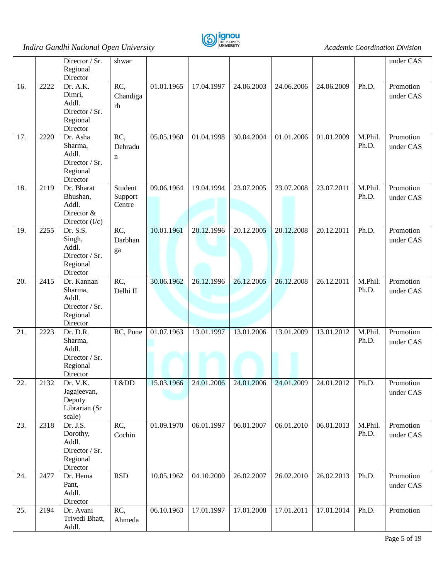

|     |      | Director / Sr.               | shwar      |                          |                          |            |            |            |         | under CAS |
|-----|------|------------------------------|------------|--------------------------|--------------------------|------------|------------|------------|---------|-----------|
|     |      | Regional                     |            |                          |                          |            |            |            |         |           |
|     |      | Director                     |            |                          |                          |            |            |            |         |           |
| 16. | 2222 | Dr. A.K.                     | RC,        | $\overline{01.01}$ .1965 | 17.04.1997               | 24.06.2003 | 24.06.2006 | 24.06.2009 | Ph.D.   | Promotion |
|     |      | Dimri,                       | Chandiga   |                          |                          |            |            |            |         | under CAS |
|     |      | Addl.                        | rh         |                          |                          |            |            |            |         |           |
|     |      | Director / Sr.               |            |                          |                          |            |            |            |         |           |
|     |      | Regional                     |            |                          |                          |            |            |            |         |           |
|     |      | Director                     |            |                          |                          |            |            |            |         |           |
| 17. | 2220 | Dr. Asha                     | RC,        | 05.05.1960               | 01.04.1998               | 30.04.2004 | 01.01.2006 | 01.01.2009 | M.Phil. | Promotion |
|     |      | Sharma,                      | Dehradu    |                          |                          |            |            |            | Ph.D.   | under CAS |
|     |      | Addl.                        | n          |                          |                          |            |            |            |         |           |
|     |      | Director / Sr.               |            |                          |                          |            |            |            |         |           |
|     |      | Regional                     |            |                          |                          |            |            |            |         |           |
|     |      | Director                     |            |                          |                          |            |            |            |         |           |
| 18. | 2119 | Dr. Bharat                   | Student    | 09.06.1964               | 19.04.1994               | 23.07.2005 | 23.07.2008 | 23.07.2011 | M.Phil. | Promotion |
|     |      | Bhushan,                     | Support    |                          |                          |            |            |            | Ph.D.   | under CAS |
|     |      | Addl.                        | Centre     |                          |                          |            |            |            |         |           |
|     |      | Director &                   |            |                          |                          |            |            |            |         |           |
| 19. | 2255 | Director $(I/c)$<br>Dr. S.S. | RC,        | 10.01.1961               | 20.12.1996               | 20.12.2005 | 20.12.2008 | 20.12.2011 | Ph.D.   | Promotion |
|     |      | Singh,                       |            |                          |                          |            |            |            |         |           |
|     |      | Addl.                        | Darbhan    |                          |                          |            |            |            |         | under CAS |
|     |      | Director / Sr.               | ga         |                          |                          |            |            |            |         |           |
|     |      | Regional                     |            |                          |                          |            |            |            |         |           |
|     |      | Director                     |            |                          |                          |            |            |            |         |           |
| 20. | 2415 | Dr. Kannan                   | RC,        | 30.06.1962               | 26.12.1996               | 26.12.2005 | 26.12.2008 | 26.12.2011 | M.Phil. | Promotion |
|     |      | Sharma,                      | Delhi II   |                          |                          |            |            |            | Ph.D.   | under CAS |
|     |      | Addl.                        |            |                          |                          |            |            |            |         |           |
|     |      | Director / Sr.               |            |                          |                          |            |            |            |         |           |
|     |      | Regional                     |            |                          |                          |            |            |            |         |           |
|     |      | Director                     |            |                          |                          |            |            |            |         |           |
| 21. | 2223 | Dr. D.R.                     | RC, Pune   | $\overline{01.07.1963}$  | 13.01.1997               | 13.01.2006 | 13.01.2009 | 13.01.2012 | M.Phil. | Promotion |
|     |      | Sharma,                      |            |                          |                          |            |            |            | Ph.D.   | under CAS |
|     |      | Addl.                        |            |                          |                          |            |            |            |         |           |
|     |      | Director / Sr.               |            |                          |                          |            |            |            |         |           |
|     |      | Regional                     |            |                          |                          |            |            |            |         |           |
|     |      | Director                     |            |                          |                          |            |            |            |         |           |
| 22  | 2132 | Dr. V.K.                     | Lⅅ         | 15.03.1966               | $\mid$ 24.01.2006 $\mid$ | 24.01.2006 | 24.01.2009 | 24.01.2012 | Ph.D.   | Promotion |
|     |      | Jagajeevan,                  |            |                          |                          |            |            |            |         | under CAS |
|     |      | Deputy                       |            |                          |                          |            |            |            |         |           |
|     |      | Librarian (Sr                |            |                          |                          |            |            |            |         |           |
|     |      | scale)                       |            |                          |                          |            |            |            |         |           |
| 23. | 2318 | Dr. J.S.                     | RC,        | 01.09.1970               | 06.01.1997               | 06.01.2007 | 06.01.2010 | 06.01.2013 | M.Phil. | Promotion |
|     |      | Dorothy,                     | Cochin     |                          |                          |            |            |            | Ph.D.   | under CAS |
|     |      | Addl.                        |            |                          |                          |            |            |            |         |           |
|     |      | Director / Sr.               |            |                          |                          |            |            |            |         |           |
|     |      | Regional                     |            |                          |                          |            |            |            |         |           |
|     |      | Director                     | <b>RSD</b> |                          |                          |            | 26.02.2010 |            | Ph.D.   | Promotion |
| 24. | 2477 | Dr. Hema                     |            | 10.05.1962               | 04.10.2000               | 26.02.2007 |            | 26.02.2013 |         |           |
|     |      | Pant,<br>Addl.               |            |                          |                          |            |            |            |         | under CAS |
|     |      | Director                     |            |                          |                          |            |            |            |         |           |
| 25. | 2194 | Dr. Avani                    | RC,        | 06.10.1963               | 17.01.1997               | 17.01.2008 | 17.01.2011 | 17.01.2014 | Ph.D.   | Promotion |
|     |      | Trivedi Bhatt,               |            |                          |                          |            |            |            |         |           |
|     |      | Addl.                        | Ahmeda     |                          |                          |            |            |            |         |           |
|     |      |                              |            |                          |                          |            |            |            |         |           |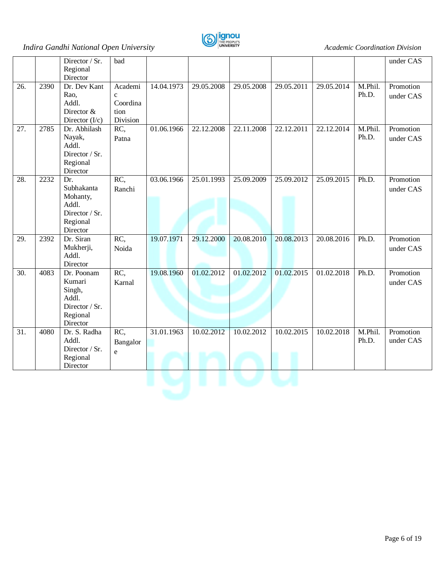

|     |      | Director / Sr.<br>Regional<br>Director                                            | bad                                                     |            |                         |            |            |            |                  | under CAS              |
|-----|------|-----------------------------------------------------------------------------------|---------------------------------------------------------|------------|-------------------------|------------|------------|------------|------------------|------------------------|
| 26. | 2390 | Dr. Dev Kant<br>Rao,<br>Addl.<br>Director &<br>Director $(I/c)$                   | Academi<br>$\mathbf{c}$<br>Coordina<br>tion<br>Division | 14.04.1973 | 29.05.2008              | 29.05.2008 | 29.05.2011 | 29.05.2014 | M.Phil.<br>Ph.D. | Promotion<br>under CAS |
| 27. | 2785 | Dr. Abhilash<br>Nayak,<br>Addl.<br>Director / Sr.<br>Regional<br>Director         | RC,<br>Patna                                            | 01.06.1966 | 22.12.2008              | 22.11.2008 | 22.12.2011 | 22.12.2014 | M.Phil.<br>Ph.D. | Promotion<br>under CAS |
| 28. | 2232 | Dr.<br>Subhakanta<br>Mohanty,<br>Addl.<br>Director / Sr.<br>Regional<br>Director  | RC,<br>Ranchi                                           | 03.06.1966 | $\overline{25.01.1993}$ | 25.09.2009 | 25.09.2012 | 25.09.2015 | Ph.D.            | Promotion<br>under CAS |
| 29. | 2392 | Dr. Siran<br>Mukherji,<br>Addl.<br>Director                                       | RC,<br>Noida                                            | 19.07.1971 | 29.12.2000              | 20.08.2010 | 20.08.2013 | 20.08.2016 | Ph.D.            | Promotion<br>under CAS |
| 30. | 4083 | Dr. Poonam<br>Kumari<br>Singh,<br>Addl.<br>Director / Sr.<br>Regional<br>Director | $RC$ ,<br>Karnal                                        | 19.08.1960 | 01.02.2012              | 01.02.2012 | 01.02.2015 | 01.02.2018 | Ph.D.            | Promotion<br>under CAS |
| 31. | 4080 | Dr. S. Radha<br>Addl.<br>Director / Sr.<br>Regional<br>Director                   | RC,<br>Bangalor<br>e                                    | 31.01.1963 | 10.02.2012              | 10.02.2012 | 10.02.2015 | 10.02.2018 | M.Phil.<br>Ph.D. | Promotion<br>under CAS |
|     |      |                                                                                   |                                                         |            |                         |            |            |            |                  |                        |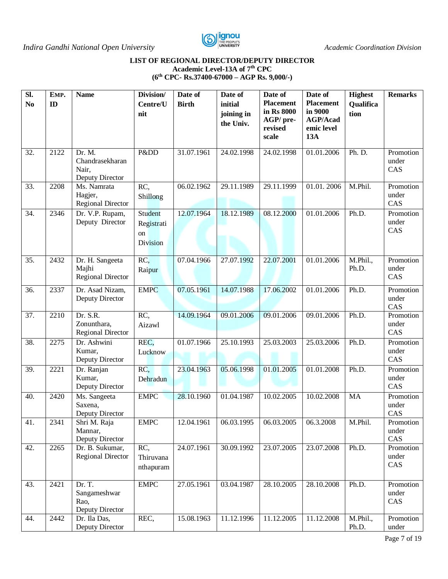

#### **LIST OF REGIONAL DIRECTOR/DEPUTY DIRECTOR Academic Level-13A of 7th CPC (6th CPC- Rs.37400-67000 – AGP Rs. 9,000/-)**

| SI.<br>N <sub>0</sub> | EMP.<br>ID | <b>Name</b>                                           | Division/<br>Centre/U<br>nit                          | Date of<br><b>Birth</b> | Date of<br>initial<br>joining in | Date of<br><b>Placement</b><br>in Rs 8000 | Date of<br><b>Placement</b><br>in 9000 | <b>Highest</b><br>Qualifica<br>tion | <b>Remarks</b>            |
|-----------------------|------------|-------------------------------------------------------|-------------------------------------------------------|-------------------------|----------------------------------|-------------------------------------------|----------------------------------------|-------------------------------------|---------------------------|
|                       |            |                                                       |                                                       |                         | the Univ.                        | AGP/ pre-<br>revised<br>scale             | <b>AGP/Acad</b><br>emic level<br>13A   |                                     |                           |
| 32.                   | 2122       | Dr. M.<br>Chandrasekharan<br>Nair,<br>Deputy Director | Pⅅ                                                    | 31.07.1961              | 24.02.1998                       | 24.02.1998                                | 01.01.2006                             | Ph. D.                              | Promotion<br>under<br>CAS |
| 33.                   | 2208       | Ms. Namrata<br>Hagjer,<br><b>Regional Director</b>    | RC,<br>Shillong                                       | 06.02.1962              | 29.11.1989                       | 29.11.1999                                | 01.01.2006                             | M.Phil.                             | Promotion<br>under<br>CAS |
| 34.                   | 2346       | Dr. V.P. Rupam,<br>Deputy Director                    | <b>Student</b><br>Registrati<br>on<br><b>Division</b> | 12.07.1964              | 18.12.1989                       | 08.12.2000                                | 01.01.2006                             | Ph.D.                               | Promotion<br>under<br>CAS |
| 35.                   | 2432       | Dr. H. Sangeeta<br>Majhi<br><b>Regional Director</b>  | RC,<br>Raipur                                         | 07.04.1966              | 27.07.1992                       | 22.07.2001                                | 01.01.2006                             | M.Phil.,<br>Ph.D.                   | Promotion<br>under<br>CAS |
| 36.                   | 2337       | Dr. Asad Nizam,<br>Deputy Director                    | <b>EMPC</b>                                           | 07.05.1961              | 14.07.1988                       | 17.06.2002                                | 01.01.2006                             | Ph.D.                               | Promotion<br>under<br>CAS |
| 37.                   | 2210       | Dr. S.R.<br>Zonunthara,<br><b>Regional Director</b>   | RC,<br>Aizawl                                         | 14.09.1964              | 09.01.2006                       | 09.01.2006                                | 09.01.2006                             | Ph.D.                               | Promotion<br>under<br>CAS |
| 38.                   | 2275       | Dr. Ashwini<br>Kumar,<br>Deputy Director              | REC,<br>Lucknow                                       | 01.07.1966              | 25.10.1993                       | 25.03.2003                                | 25.03.2006                             | Ph.D.                               | Promotion<br>under<br>CAS |
| 39.                   | 2221       | Dr. Ranjan<br>Kumar,<br>Deputy Director               | RC,<br>Dehradun                                       | 23.04.1963              | 05.06.1998                       | 01.01.2005                                | 01.01.2008                             | Ph.D.                               | Promotion<br>under<br>CAS |
| 40.                   | 2420       | Ms. Sangeeta<br>Saxena,<br>Deputy Director            | <b>EMPC</b>                                           | 28.10.1960              | 01.04.1987                       | 10.02.2005                                | 10.02.2008                             | <b>MA</b>                           | Promotion<br>under<br>CAS |
| 41.                   | 2341       | Shri M. Raja<br>Mannar,<br>Deputy Director            | <b>EMPC</b>                                           | 12.04.1961              | 06.03.1995                       | 06.03.2005                                | 06.3.2008                              | M.Phil.                             | Promotion<br>under<br>CAS |
| 42.                   | 2265       | Dr. B. Sukumar,<br><b>Regional Director</b>           | RC,<br>Thiruvana<br>nthapuram                         | 24.07.1961              | 30.09.1992                       | 23.07.2005                                | 23.07.2008                             | Ph.D.                               | Promotion<br>under<br>CAS |
| 43.                   | 2421       | Dr. T.<br>Sangameshwar<br>Rao,<br>Deputy Director     | <b>EMPC</b>                                           | 27.05.1961              | 03.04.1987                       | 28.10.2005                                | 28.10.2008                             | Ph.D.                               | Promotion<br>under<br>CAS |
| 44.                   | 2442       | Dr. Ila Das,<br>Deputy Director                       | REC,                                                  | 15.08.1963              | 11.12.1996                       | 11.12.2005                                | 11.12.2008                             | M.Phil.,<br>Ph.D.                   | Promotion<br>under        |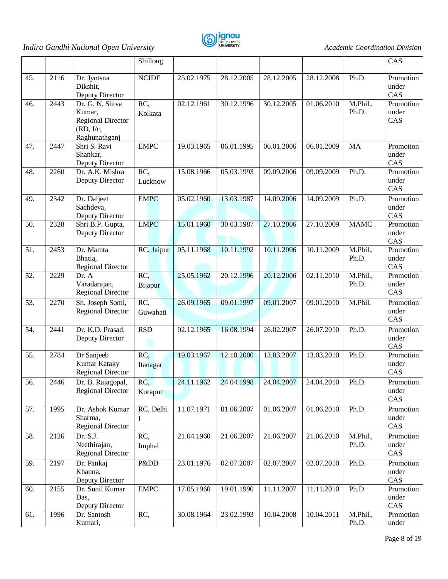

|     |      |                                                                                     | Shillong        |            |            |            |            |                   | CAS                       |
|-----|------|-------------------------------------------------------------------------------------|-----------------|------------|------------|------------|------------|-------------------|---------------------------|
| 45. | 2116 | Dr. Jyotsna<br>Dikshit,<br>Deputy Director                                          | <b>NCIDE</b>    | 25.02.1975 | 28.12.2005 | 28.12.2005 | 28.12.2008 | Ph.D.             | Promotion<br>under<br>CAS |
| 46. | 2443 | Dr. G. N. Shiva<br>Kumar,<br><b>Regional Director</b><br>(RD, I/c,<br>Raghunathganj | RC,<br>Kolkata  | 02.12.1961 | 30.12.1996 | 30.12.2005 | 01.06.2010 | M.Phil.,<br>Ph.D. | Promotion<br>under<br>CAS |
| 47. | 2447 | Shri S. Ravi<br>Shankar,<br>Deputy Director                                         | <b>EMPC</b>     | 19.03.1965 | 06.01.1995 | 06.01.2006 | 06.01.2009 | <b>MA</b>         | Promotion<br>under<br>CAS |
| 48. | 2260 | Dr. A.K. Mishra<br>Deputy Director                                                  | RC,<br>Lucknow  | 15.08.1966 | 05.03.1993 | 09.09.2006 | 09.09.2009 | Ph.D.             | Promotion<br>under<br>CAS |
| 49. | 2342 | Dr. Daljeet<br>Sachdeva,<br>Deputy Director                                         | <b>EMPC</b>     | 05.02.1960 | 13.03.1987 | 14.09.2006 | 14.09.2009 | Ph.D.             | Promotion<br>under<br>CAS |
| 50. | 2328 | Shri B.P. Gupta,<br>Deputy Director                                                 | <b>EMPC</b>     | 15.01.1960 | 30.03.1987 | 27.10.2006 | 27.10.2009 | <b>MAMC</b>       | Promotion<br>under<br>CAS |
| 51. | 2453 | Dr. Mamta<br>Bhatia,<br><b>Regional Director</b>                                    | RC, Jaipur      | 05.11.1968 | 10.11.1992 | 10.11.2006 | 10.11.2009 | M.Phil.,<br>Ph.D. | Promotion<br>under<br>CAS |
| 52. | 2229 | Dr. A<br>Varadarajan,<br><b>Regional Director</b>                                   | RC,<br>Bijapur  | 25.05.1962 | 20.12.1996 | 20.12.2006 | 02.11.2010 | M.Phil.,<br>Ph.D. | Promotion<br>under<br>CAS |
| 53. | 2270 | Sh. Joseph Somi,<br><b>Regional Director</b>                                        | RC,<br>Guwahati | 26.09.1965 | 09.01.1997 | 09.01.2007 | 09.01.2010 | M.Phil.           | Promotion<br>under<br>CAS |
| 54. | 2441 | Dr. K.D. Prasad,<br>Deputy Director                                                 | RSD             | 02.12.1965 | 16.08.1994 | 26.02.2007 | 26.07.2010 | Ph.D.             | Promotion<br>under<br>CAS |
| 55. | 2784 | Dr Sanjeeb<br>Kumar Kataky<br><b>Regional Director</b>                              | RC,<br>Itanagar | 19.03.1967 | 12.10.2000 | 13.03.2007 | 13.03.2010 | Ph.D.             | Promotion<br>under<br>CAS |
| 56. | 2446 | Dr. B. Rajagopal,<br><b>Regional Director</b>                                       | RC,<br>Koraput  | 24.11.1962 | 24.04.1998 | 24.04.2007 | 24.04.2010 | Ph.D.             | Promotion<br>under<br>CAS |
| 57. | 1995 | Dr. Ashok Kumar<br>Sharma,<br>Regional Director                                     | RC, Delhi<br>Ι  | 11.07.1971 | 01.06.2007 | 01.06.2007 | 01.06.2010 | Ph.D.             | Promotion<br>under<br>CAS |
| 58. | 2126 | Dr. S.J.<br>Neethirajan,<br><b>Regional Director</b>                                | RC,<br>Imphal   | 21.04.1960 | 21.06.2007 | 21.06.2007 | 21.06.2010 | M.Phil.,<br>Ph.D. | Promotion<br>under<br>CAS |
| 59. | 2197 | Dr. Pankaj<br>Khanna,<br>Deputy Director                                            | Pⅅ              | 23.01.1976 | 02.07.2007 | 02.07.2007 | 02.07.2010 | Ph.D.             | Promotion<br>under<br>CAS |
| 60. | 2155 | Dr. Sunil Kumar<br>Das,<br>Deputy Director                                          | <b>EMPC</b>     | 17.05.1960 | 19.01.1990 | 11.11.2007 | 11.11.2010 | Ph.D.             | Promotion<br>under<br>CAS |
| 61. | 1996 | Dr. Santosh<br>Kumari,                                                              | RC,             | 30.08.1964 | 23.02.1993 | 10.04.2008 | 10.04.2011 | M.Phil.,<br>Ph.D. | Promotion<br>under        |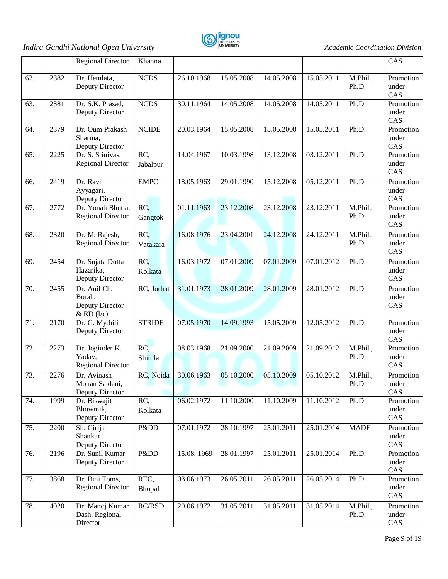

|     |      | Regional Director                                           | Khanna          |            |            |            |            |                   | CAS                       |
|-----|------|-------------------------------------------------------------|-----------------|------------|------------|------------|------------|-------------------|---------------------------|
| 62. | 2382 | Dr. Hemlata,<br>Deputy Director                             | <b>NCDS</b>     | 26.10.1968 | 15.05.2008 | 14.05.2008 | 15.05.2011 | M.Phil.,<br>Ph.D. | Promotion<br>under<br>CAS |
| 63. | 2381 | Dr. S.K. Prasad,<br>Deputy Director                         | <b>NCDS</b>     | 30.11.1964 | 14.05.2008 | 14.05.2008 | 14.05.2011 | Ph.D.             | Promotion<br>under<br>CAS |
| 64. | 2379 | Dr. Oum Prakash<br>Sharma,<br>Deputy Director               | <b>NCIDE</b>    | 20.03.1964 | 15.05.2008 | 15.05.2008 | 15.05.2011 | Ph.D.             | Promotion<br>under<br>CAS |
| 65. | 2225 | Dr. S. Srinivas,<br><b>Regional Director</b>                | RC,<br>Jabalpur | 14.04.1967 | 10.03.1998 | 13.12.2008 | 03.12.2011 | Ph.D.             | Promotion<br>under<br>CAS |
| 66. | 2419 | Dr. Ravi<br>Ayyagari,<br>Deputy Director                    | <b>EMPC</b>     | 18.05.1963 | 29.01.1990 | 15.12.2008 | 05.12.2011 | Ph.D.             | Promotion<br>under<br>CAS |
| 67. | 2772 | Dr. Yonah Bhutia,<br><b>Regional Director</b>               | RC,<br>Gangtok  | 01.11.1963 | 23.12.2008 | 23.12.2008 | 23.12.2011 | M.Phil.,<br>Ph.D. | Promotion<br>under<br>CAS |
| 68. | 2320 | Dr. M. Rajesh,<br><b>Regional Director</b>                  | RC,<br>Vatakara | 16.08.1976 | 23.04.2001 | 24.12.2008 | 24.12.2011 | M.Phil.,<br>Ph.D. | Promotion<br>under<br>CAS |
| 69. | 2454 | Dr. Sujata Dutta<br>Hazarika,<br>Deputy Director            | RC,<br>Kolkata  | 16.03.1972 | 07.01.2009 | 07.01.2009 | 07.01.2012 | Ph.D.             | Promotion<br>under<br>CAS |
| 70. | 2455 | Dr. Anil Ch.<br>Borah,<br>Deputy Director<br>$&$ RD $(I/c)$ | RC, Jorhat      | 31.01.1973 | 28.01.2009 | 28.01.2009 | 28.01.2012 | Ph.D.             | Promotion<br>under<br>CAS |
| 71. | 2170 | Dr. G. Mythili<br>Deputy Director                           | <b>STRIDE</b>   | 07.05.1970 | 14.09.1993 | 15.05.2009 | 12.05.2012 | Ph.D.             | Promotion<br>under<br>CAS |
| 72. | 2273 | Dr. Joginder K.<br>Yadav,<br>Regional Director              | RC,<br>Shimla   | 08.03.1968 | 21.09.2000 | 21.09.2009 | 21.09.2012 | M.Phil.,<br>Ph.D. | Promotion<br>under<br>CAS |
| 73. | 2276 | Dr. Avinash<br>Mohan Saklani,<br>Deputy Director            | RC, Noida       | 30.06.1963 | 05.10.2000 | 05.10.2009 | 05.10.2012 | M.Phil.,<br>Ph.D. | Promotion<br>under<br>CAS |
| 74. | 1999 | Dr. Biswajit<br>Bhowmik,<br>Deputy Director                 | RC,<br>Kolkata  | 06.02.1972 | 11.10.2000 | 11.10.2009 | 11.10.2012 | Ph.D.             | Promotion<br>under<br>CAS |
| 75. | 2200 | Sh. Girija<br>Shankar<br>Deputy Director                    | Pⅅ              | 07.01.1972 | 28.10.1997 | 25.01.2011 | 25.01.2014 | <b>MADE</b>       | Promotion<br>under<br>CAS |
| 76. | 2196 | Dr. Sunil Kumar<br>Deputy Director                          | Pⅅ              | 15.08.1969 | 28.01.1997 | 25.01.2011 | 25.01.2014 | Ph.D.             | Promotion<br>under<br>CAS |
| 77. | 3868 | Dr. Bini Toms,<br><b>Regional Director</b>                  | REC,<br>Bhopal  | 03.06.1973 | 26.05.2011 | 26.05.2011 | 26.05.2014 | Ph.D.             | Promotion<br>under<br>CAS |
| 78. | 4020 | Dr. Manoj Kumar<br>Dash, Regional<br>Director               | RC/RSD          | 20.06.1972 | 31.05.2011 | 31.05.2011 | 31.05.2014 | M.Phil.,<br>Ph.D. | Promotion<br>under<br>CAS |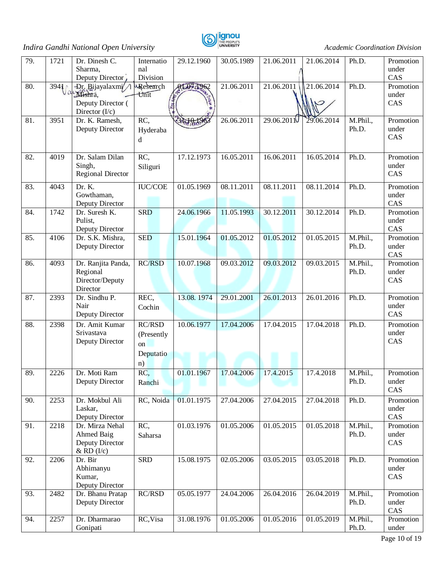

| 79. | 1721       | Dr. Dinesh C.                        | Internatio       | 29.12.1960 | 30.05.1989 | 21.06.2011             | 21.06.2014 | Ph.D.             | Promotion          |
|-----|------------|--------------------------------------|------------------|------------|------------|------------------------|------------|-------------------|--------------------|
|     |            | Sharma,<br>Deputy Director           | nal<br>Division  |            |            |                        |            |                   | under<br>CAS       |
| 80. | 3941<br>Jα | Dr. Bijayalaxmi/                     | Research         | AT 07:1962 | 21.06.2011 | 21.06.2011             | 21.06.2014 | Ph.D.             | Promotion          |
|     |            | Mishra,<br>Deputy Director (         | Unit             |            |            |                        |            |                   | under<br>CAS       |
|     |            | Director $(I/c)$                     |                  |            | 26.06.2011 |                        |            |                   |                    |
| 81. | 3951       | Dr. K. Ramesh,<br>Deputy Director    | RC,<br>Hyderaba  | 31-18-1962 |            | 29.06.201 <sub>1</sub> | 29.06.2014 | M.Phil.,<br>Ph.D. | Promotion<br>under |
|     |            |                                      | d                |            |            |                        |            |                   | CAS                |
| 82. | 4019       | Dr. Salam Dilan                      | RC,              | 17.12.1973 | 16.05.2011 | 16.06.2011             | 16.05.2014 | Ph.D.             | Promotion          |
|     |            | Singh,<br><b>Regional Director</b>   | Siliguri         |            |            |                        |            |                   | under<br>CAS       |
| 83. | 4043       | Dr. K.                               | <b>IUC/COE</b>   | 01.05.1969 | 08.11.2011 | 08.11.2011             | 08.11.2014 | Ph.D.             | Promotion          |
|     |            | Gowthaman,<br>Deputy Director        |                  |            |            |                        |            |                   | under<br>CAS       |
| 84. | 1742       | Dr. Suresh K.                        | <b>SRD</b>       | 24.06.1966 | 11.05.1993 | 30.12.2011             | 30.12.2014 | Ph.D.             | Promotion          |
|     |            | Pulist,<br>Deputy Director           |                  |            |            |                        |            |                   | under<br>CAS       |
| 85. | 4106       | Dr. S.K. Mishra,                     | <b>SED</b>       | 15.01.1964 | 01.05.2012 | 01.05.2012             | 01.05.2015 | M.Phil.,<br>Ph.D. | Promotion<br>under |
|     |            | Deputy Director                      |                  |            |            |                        |            |                   | CAS                |
| 86. | 4093       | Dr. Ranjita Panda,<br>Regional       | <b>RC/RSD</b>    | 10.07.1968 | 09.03.2012 | 09.03.2012             | 09.03.2015 | M.Phil.,<br>Ph.D. | Promotion<br>under |
|     |            | Director/Deputy<br>Director          |                  |            |            |                        |            |                   | CAS                |
| 87. | 2393       | Dr. Sindhu P.                        | REC,             | 13.08.1974 | 29.01.2001 | 26.01.2013             | 26.01.2016 | Ph.D.             | Promotion          |
|     |            | Nair<br>Deputy Director              | Cochin           |            |            |                        |            |                   | under<br>CAS       |
| 88. | 2398       | Dr. Amit Kumar                       | RC/RSD           | 10.06.1977 | 17.04.2006 | 17.04.2015             | 17.04.2018 | Ph.D.             | Promotion          |
|     |            | Srivastava<br>Deputy Director        | (Presently<br>on |            |            |                        |            |                   | under<br>CAS       |
|     |            |                                      | Deputatio        |            |            |                        |            |                   |                    |
|     |            |                                      | n)               |            |            |                        |            |                   |                    |
| 89. | 2226       | Dr. Moti Ram<br>Deputy Director      | RC,<br>Ranchi    | 01.01.1967 | 17.04.2006 | 17.4.2015              | 17.4.2018  | M.Phil.,<br>Ph.D. | Promotion<br>under |
|     |            |                                      |                  |            |            |                        |            |                   | CAS                |
| 90. | 2253       | Dr. Mokbul Ali<br>Laskar,            | RC, Noida        | 01.01.1975 | 27.04.2006 | 27.04.2015             | 27.04.2018 | Ph.D.             | Promotion<br>under |
|     |            | Deputy Director                      |                  |            |            |                        |            |                   | CAS                |
| 91. | 2218       | Dr. Mirza Nehal<br><b>Ahmed Baig</b> | RC,<br>Saharsa   | 01.03.1976 | 01.05.2006 | 01.05.2015             | 01.05.2018 | M.Phil.,<br>Ph.D. | Promotion<br>under |
|     |            | Deputy Director<br>$&$ RD $(I/c)$    |                  |            |            |                        |            |                   | CAS                |
| 92. | 2206       | Dr. Bir                              | <b>SRD</b>       | 15.08.1975 | 02.05.2006 | 03.05.2015             | 03.05.2018 | Ph.D.             | Promotion          |
|     |            | Abhimanyu<br>Kumar,                  |                  |            |            |                        |            |                   | under<br>CAS       |
|     |            | Deputy Director                      |                  |            |            |                        |            |                   |                    |
| 93. | 2482       | Dr. Bhanu Pratap<br>Deputy Director  | RC/RSD           | 05.05.1977 | 24.04.2006 | 26.04.2016             | 26.04.2019 | M.Phil.,<br>Ph.D. | Promotion<br>under |
|     |            |                                      |                  |            |            |                        |            |                   | CAS                |
| 94. | 2257       | Dr. Dharmarao<br>Gonipati            | RC, Visa         | 31.08.1976 | 01.05.2006 | 01.05.2016             | 01.05.2019 | M.Phil.,<br>Ph.D. | Promotion<br>under |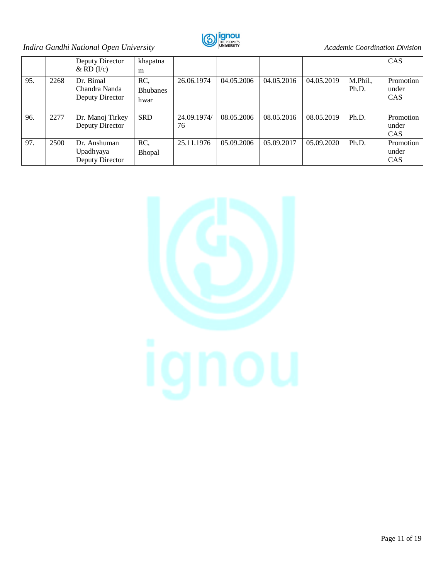

|     |      | Deputy Director                               | khapatna                       |                   |            |            |            |                   | CAS                              |
|-----|------|-----------------------------------------------|--------------------------------|-------------------|------------|------------|------------|-------------------|----------------------------------|
|     |      | $\&$ RD (I/c)                                 | m                              |                   |            |            |            |                   |                                  |
| 95. | 2268 | Dr. Bimal<br>Chandra Nanda<br>Deputy Director | RC,<br><b>Bhubanes</b><br>hwar | 26.06.1974        | 04.05.2006 | 04.05.2016 | 04.05.2019 | M.Phil.,<br>Ph.D. | Promotion<br>under<br><b>CAS</b> |
| 96. | 2277 | Dr. Manoj Tirkey<br>Deputy Director           | <b>SRD</b>                     | 24.09.1974/<br>76 | 08.05.2006 | 08.05.2016 | 08.05.2019 | Ph.D.             | Promotion<br>under<br><b>CAS</b> |
| 97. | 2500 | Dr. Anshuman<br>Upadhyaya<br>Deputy Director  | RC,<br>Bhopal                  | 25.11.1976        | 05.09.2006 | 05.09.2017 | 05.09.2020 | Ph.D.             | Promotion<br>under<br><b>CAS</b> |

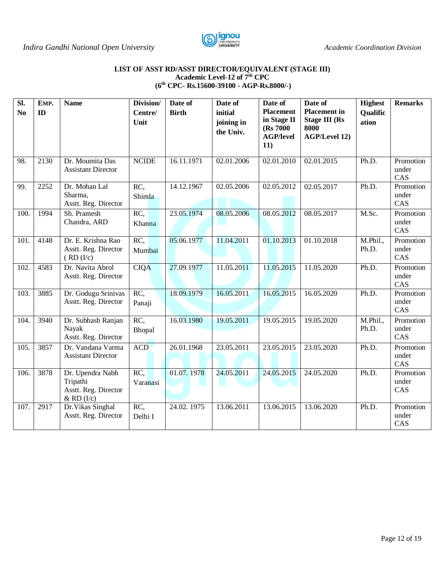

#### **LIST OF ASST RD/ASST DIRECTOR/EQUIVALENT (STAGE III) Academic Level-12 of 7th CPC (6th CPC- Rs.15600-39100 - AGP-Rs.8000/-)**

| SI.<br>N <sub>0</sub> | EMP.<br>ID        | <b>Name</b>                                                            | Division/<br>Centre/<br>Unit | Date of<br><b>Birth</b> | Date of<br>initial<br>joining in<br>the Univ. | Date of<br><b>Placement</b><br>in Stage II<br>(Rs 7000)<br><b>AGP/level</b><br>11) | Date of<br><b>Placement</b> in<br><b>Stage III (Rs</b><br>8000<br><b>AGP/Level 12)</b> | <b>Highest</b><br>Qualific<br>ation | <b>Remarks</b>            |
|-----------------------|-------------------|------------------------------------------------------------------------|------------------------------|-------------------------|-----------------------------------------------|------------------------------------------------------------------------------------|----------------------------------------------------------------------------------------|-------------------------------------|---------------------------|
| 98.                   | 2130              | Dr. Moumita Das<br><b>Assistant Director</b>                           | <b>NCIDE</b>                 | 16.11.1971              | 02.01.2006                                    | 02.01.2010                                                                         | 02.01.2015                                                                             | Ph.D.                               | Promotion<br>under<br>CAS |
| 99.                   | 2252              | Dr. Mohan Lal<br>Sharma,<br>Asstt. Reg. Director                       | RC,<br>Shimla                | 14.12.1967              | 02.05.2006                                    | 02.05.2012                                                                         | 02.05.2017                                                                             | Ph.D.                               | Promotion<br>under<br>CAS |
| 100.                  | 1994              | Sh. Pramesh<br>Chandra, ARD                                            | RC,<br>Khanna                | 23.05.1974              | 08.05.2006                                    | 08.05.2012                                                                         | 08.05.2017                                                                             | M.Sc.                               | Promotion<br>under<br>CAS |
| 101.                  | 4148              | Dr. E. Krishna Rao<br>Asstt. Reg. Director<br>(RD (I/c))               | RC,<br>Mumbai                | 05.06.1977              | 11.04.2011                                    | 01.10.2013                                                                         | 01.10.2018                                                                             | M.Phil.,<br>Ph.D.                   | Promotion<br>under<br>CAS |
| 102.                  | 4583              | Dr. Navita Abrol<br>Asstt. Reg. Director                               | <b>CIQA</b>                  | 27.09.1977              | 11.05.2011                                    | 11.05.2015                                                                         | 11.05.2020                                                                             | Ph.D.                               | Promotion<br>under<br>CAS |
| 103.                  | 3885              | Dr. Godugu Srinivas<br>Asstt. Reg. Director                            | RC,<br>Panaji                | 18.09.1979              | 16.05.2011                                    | 16.05.2015                                                                         | 16.05.2020                                                                             | Ph.D.                               | Promotion<br>under<br>CAS |
| 104.                  | $\overline{3940}$ | Dr. Subhash Ranjan<br>Nayak<br>Asstt. Reg. Director                    | RC,<br>Bhopal                | 16.03.1980              | 19.05.2011                                    | 19.05.2015                                                                         | 19.05.2020                                                                             | M.Phil.,<br>Ph.D.                   | Promotion<br>under<br>CAS |
| 105.                  | 3857              | Dr. Vandana Varma<br><b>Assistant Director</b>                         | <b>ACD</b>                   | 26.01.1968              | 23.05.2011                                    | 23.05.2015                                                                         | 23.05.2020                                                                             | Ph.D.                               | Promotion<br>under<br>CAS |
| 106.                  | 3878              | Dr. Upendra Nabh<br>Tripathi<br>Asstt. Reg. Director<br>$&$ RD $(I/c)$ | RC,<br>Varanasi              | 01.07.1978              | 24.05.2011                                    | 24.05.2015                                                                         | 24.05.2020                                                                             | Ph.D.                               | Promotion<br>under<br>CAS |
| 107.                  | 2917              | Dr. Vikas Singhal<br>Asstt. Reg. Director                              | RC,<br>Delhi I               | 24.02.1975              | 13.06.2011                                    | 13.06.2015                                                                         | 13.06.2020                                                                             | Ph.D.                               | Promotion<br>under<br>CAS |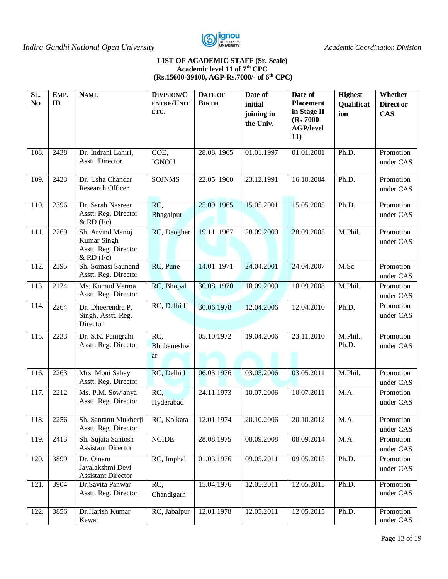

#### **LIST OF ACADEMIC STAFF (Sr. Scale) Academic level 11 of 7th CPC (Rs.15600-39100, AGP-Rs.7000/- of 6th CPC)**

| SL.<br>N <sub>O</sub> | EMP.<br>ID | <b>NAME</b>                                                               | DIVISION/C<br><b>ENTRE/UNIT</b><br>ETC. | <b>DATE OF</b><br><b>BIRTH</b> | Date of<br>initial<br>joining in<br>the Univ. | Date of<br><b>Placement</b><br>in Stage II<br>(Rs 7000)<br><b>AGP/level</b> | <b>Highest</b><br>Qualificat<br>ion | Whether<br>Direct or<br><b>CAS</b> |
|-----------------------|------------|---------------------------------------------------------------------------|-----------------------------------------|--------------------------------|-----------------------------------------------|-----------------------------------------------------------------------------|-------------------------------------|------------------------------------|
| 108.                  | 2438       | Dr. Indrani Lahiri,                                                       | COE,                                    | 28.08.1965                     | 01.01.1997                                    | 11)<br>01.01.2001                                                           | Ph.D.                               | Promotion                          |
| 109.                  | 2423       | Asstt. Director<br>Dr. Usha Chandar                                       | <b>IGNOU</b><br><b>SOJNMS</b>           | 22.05.1960                     | 23.12.1991                                    | 16.10.2004                                                                  | Ph.D.                               | under CAS<br>Promotion             |
|                       |            | Research Officer                                                          |                                         |                                |                                               |                                                                             |                                     | under CAS                          |
| 110.                  | 2396       | Dr. Sarah Nasreen<br>Asstt. Reg. Director<br>$&$ RD $(I/c)$               | RC,<br>Bhagalpur                        | 25.09.1965                     | 15.05.2001                                    | 15.05.2005                                                                  | Ph.D.                               | Promotion<br>under CAS             |
| 111.                  | 2269       | Sh. Arvind Manoj<br>Kumar Singh<br>Asstt. Reg. Director<br>$&$ RD $(I/c)$ | RC, Deoghar                             | 19.11.1967                     | 28.09.2000                                    | 28.09.2005                                                                  | M.Phil.                             | Promotion<br>under CAS             |
| 112.                  | 2395       | Sh. Somasi Saunand<br>Asstt. Reg. Director                                | RC, Pune                                | 14.01.1971                     | 24.04.2001                                    | 24.04.2007                                                                  | M.Sc.                               | Promotion<br>under CAS             |
| 113.                  | 2124       | Ms. Kumud Verma<br>Asstt. Reg. Director                                   | RC, Bhopal                              | 30.08.1970                     | 18.09.2000                                    | 18.09.2008                                                                  | M.Phil.                             | Promotion<br>under CAS             |
| 114.                  | 2264       | Dr. Dheerendra P.<br>Singh, Asstt. Reg.<br>Director                       | RC, Delhi II                            | 30.06.1978                     | 12.04.2006                                    | 12.04.2010                                                                  | Ph.D.                               | Promotion<br>under CAS             |
| 115.                  | 2233       | Dr. S.K. Panigrahi<br>Asstt. Reg. Director                                | RC,<br>Bhubaneshw<br>ar                 | 05.10.1972                     | 19.04.2006                                    | 23.11.2010                                                                  | M.Phil.,<br>Ph.D.                   | Promotion<br>under CAS             |
| 116.                  | 2263       | Mrs. Moni Sahay<br>Asstt. Reg. Director                                   | RC, Delhi I                             | 06.03.1976                     | 03.05.2006                                    | 03.05.2011                                                                  | M.Phil.                             | Promotion<br>under CAS             |
| 117.                  | 2212       | Ms. P.M. Sowjanya<br>Asstt. Reg. Director                                 | RC,<br>Hyderabad                        | 24.11.1973                     | 10.07.2006                                    | 10.07.2011                                                                  | M.A.                                | Promotion<br>under CAS             |
| 118.                  | 2256       | Sh. Santanu Mukherji<br>Asstt. Reg. Director                              | RC, Kolkata                             | 12.01.1974                     | 20.10.2006                                    | 20.10.2012                                                                  | M.A.                                | Promotion<br>under CAS             |
| 119.                  | 2413       | Sh. Sujata Santosh<br><b>Assistant Director</b>                           | $\sf NCIDE$                             | 28.08.1975                     | 08.09.2008                                    | 08.09.2014                                                                  | M.A.                                | Promotion<br>under CAS             |
| 120.                  | 3899       | Dr. Oinam<br>Jayalakshmi Devi<br><b>Assistant Director</b>                | RC, Imphal                              | 01.03.1976                     | 09.05.2011                                    | 09.05.2015                                                                  | Ph.D.                               | Promotion<br>under CAS             |
| 121.                  | 3904       | Dr.Savita Panwar<br>Asstt. Reg. Director                                  | RC,<br>Chandigarh                       | 15.04.1976                     | 12.05.2011                                    | 12.05.2015                                                                  | Ph.D.                               | Promotion<br>under CAS             |
| 122.                  | 3856       | Dr.Harish Kumar<br>Kewat                                                  | RC, Jabalpur                            | 12.01.1978                     | 12.05.2011                                    | 12.05.2015                                                                  | Ph.D.                               | Promotion<br>under CAS             |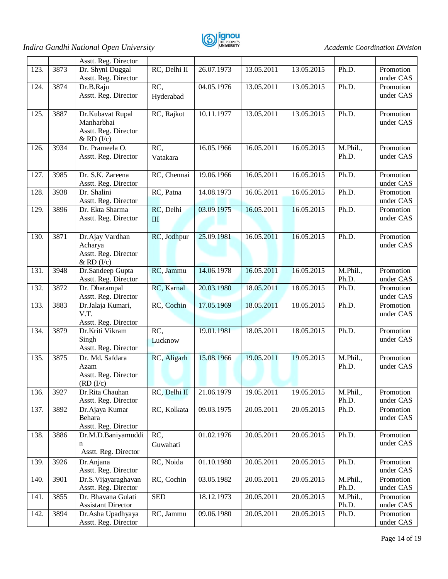

|      |      | Asstt. Reg. Director                                                     |                  |            |            |            |                   |                        |
|------|------|--------------------------------------------------------------------------|------------------|------------|------------|------------|-------------------|------------------------|
| 123. | 3873 | Dr. Shyni Duggal<br>Asstt. Reg. Director                                 | RC, Delhi II     | 26.07.1973 | 13.05.2011 | 13.05.2015 | Ph.D.             | Promotion<br>under CAS |
| 124. | 3874 | Dr.B.Raju<br>Asstt. Reg. Director                                        | RC,<br>Hyderabad | 04.05.1976 | 13.05.2011 | 13.05.2015 | Ph.D.             | Promotion<br>under CAS |
| 125. | 3887 | Dr.Kubavat Rupal<br>Manharbhai<br>Asstt. Reg. Director<br>$&$ RD $(I/c)$ | RC, Rajkot       | 10.11.1977 | 13.05.2011 | 13.05.2015 | Ph.D.             | Promotion<br>under CAS |
| 126. | 3934 | Dr. Prameela O.<br>Asstt. Reg. Director                                  | RC,<br>Vatakara  | 16.05.1966 | 16.05.2011 | 16.05.2015 | M.Phil.,<br>Ph.D. | Promotion<br>under CAS |
| 127. | 3985 | Dr. S.K. Zareena<br>Asstt. Reg. Director                                 | RC, Chennai      | 19.06.1966 | 16.05.2011 | 16.05.2015 | Ph.D.             | Promotion<br>under CAS |
| 128. | 3938 | Dr. Shalini<br>Asstt. Reg. Director                                      | RC, Patna        | 14.08.1973 | 16.05.2011 | 16.05.2015 | Ph.D.             | Promotion<br>under CAS |
| 129. | 3896 | Dr. Ekta Sharma<br>Asstt. Reg. Director                                  | RC, Delhi<br>III | 03.09.1975 | 16.05.2011 | 16.05.2015 | Ph.D.             | Promotion<br>under CAS |
| 130. | 3871 | Dr.Ajay Vardhan<br>Acharya<br>Asstt. Reg. Director<br>$&$ RD $(I/c)$     | RC, Jodhpur      | 25.09.1981 | 16.05.2011 | 16.05.2015 | Ph.D.             | Promotion<br>under CAS |
| 131. | 3948 | Dr.Sandeep Gupta<br>Asstt. Reg. Director                                 | RC, Jammu        | 14.06.1978 | 16.05.2011 | 16.05.2015 | M.Phil.,<br>Ph.D. | Promotion<br>under CAS |
| 132. | 3872 | Dr. Dharampal<br>Asstt. Reg. Director                                    | RC, Karnal       | 20.03.1980 | 18.05.2011 | 18.05.2015 | Ph.D.             | Promotion<br>under CAS |
| 133. | 3883 | Dr.Jalaja Kumari,<br>V.T.<br>Asstt. Reg. Director                        | RC, Cochin       | 17.05.1969 | 18.05.2011 | 18.05.2015 | Ph.D.             | Promotion<br>under CAS |
| 134. | 3879 | Dr.Kriti Vikram<br>Singh<br>Asstt. Reg. Director                         | RC,<br>Lucknow   | 19.01.1981 | 18.05.2011 | 18.05.2015 | Ph.D.             | Promotion<br>under CAS |
| 135. | 3875 | Dr. Md. Safdara<br>Azam<br>Asstt. Reg. Director<br>(RD (I/c))            | RC, Aligarh      | 15.08.1966 | 19.05.2011 | 19.05.2015 | M.Phil.,<br>Ph.D. | Promotion<br>under CAS |
| 136. | 3927 | Dr.Rita Chauhan<br>Asstt. Reg. Director                                  | RC, Delhi II     | 21.06.1979 | 19.05.2011 | 19.05.2015 | M.Phil.,<br>Ph.D. | Promotion<br>under CAS |
| 137. | 3892 | Dr.Ajaya Kumar<br>Behara<br>Asstt. Reg. Director                         | RC, Kolkata      | 09.03.1975 | 20.05.2011 | 20.05.2015 | Ph.D.             | Promotion<br>under CAS |
| 138. | 3886 | Dr.M.D.Baniyamuddi<br>n<br>Asstt. Reg. Director                          | RC,<br>Guwahati  | 01.02.1976 | 20.05.2011 | 20.05.2015 | Ph.D.             | Promotion<br>under CAS |
| 139. | 3926 | Dr.Anjana<br>Asstt. Reg. Director                                        | RC, Noida        | 01.10.1980 | 20.05.2011 | 20.05.2015 | Ph.D.             | Promotion<br>under CAS |
| 140. | 3901 | Dr.S. Vijayaraghavan<br>Asstt. Reg. Director                             | RC, Cochin       | 03.05.1982 | 20.05.2011 | 20.05.2015 | M.Phil.,<br>Ph.D. | Promotion<br>under CAS |
| 141. | 3855 | Dr. Bhavana Gulati<br><b>Assistant Director</b>                          | <b>SED</b>       | 18.12.1973 | 20.05.2011 | 20.05.2015 | M.Phil.,<br>Ph.D. | Promotion<br>under CAS |
| 142. | 3894 | Dr.Asha Upadhyaya<br>Asstt. Reg. Director                                | RC, Jammu        | 09.06.1980 | 20.05.2011 | 20.05.2015 | Ph.D.             | Promotion<br>under CAS |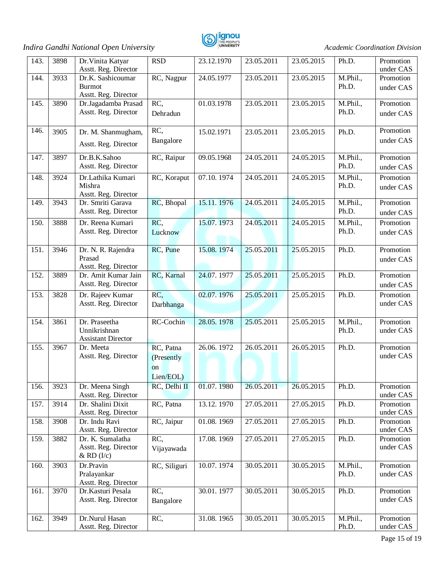

| 143. | 3898 | Dr. Vinita Katyar<br>Asstt. Reg. Director                  | <b>RSD</b>                                            | 23.12.1970                | 23.05.2011 | 23.05.2015 | Ph.D.             | Promotion<br>under CAS |
|------|------|------------------------------------------------------------|-------------------------------------------------------|---------------------------|------------|------------|-------------------|------------------------|
| 144. | 3933 | Dr.K. Sashicoumar<br><b>Burmot</b><br>Asstt. Reg. Director | RC, Nagpur                                            | 24.05.1977                | 23.05.2011 | 23.05.2015 | M.Phil.,<br>Ph.D. | Promotion<br>under CAS |
| 145. | 3890 | Dr.Jagadamba Prasad<br>Asstt. Reg. Director                | RC,<br>Dehradun                                       | 01.03.1978                | 23.05.2011 | 23.05.2015 | M.Phil.,<br>Ph.D. | Promotion<br>under CAS |
| 146. | 3905 | Dr. M. Shanmugham,<br>Asstt. Reg. Director                 | RC,<br>Bangalore                                      | 15.02.1971                | 23.05.2011 | 23.05.2015 | Ph.D.             | Promotion<br>under CAS |
| 147. | 3897 | Dr.B.K.Sahoo<br>Asstt. Reg. Director                       | RC, Raipur                                            | 09.05.1968                | 24.05.2011 | 24.05.2015 | M.Phil.,<br>Ph.D. | Promotion<br>under CAS |
| 148. | 3924 | Dr.Lathika Kumari<br>Mishra<br>Asstt. Reg. Director        | RC, Koraput                                           | 07.10.1974                | 24.05.2011 | 24.05.2015 | M.Phil.,<br>Ph.D. | Promotion<br>under CAS |
| 149. | 3943 | Dr. Smriti Garava<br>Asstt. Reg. Director                  | RC, Bhopal                                            | 15.11.1976                | 24.05.2011 | 24.05.2015 | M.Phil.,<br>Ph.D. | Promotion<br>under CAS |
| 150. | 3888 | Dr. Reena Kumari<br>Asstt. Reg. Director                   | RC,<br>Lucknow                                        | 15.07.1973                | 24.05.2011 | 24.05.2015 | M.Phil.,<br>Ph.D. | Promotion<br>under CAS |
| 151. | 3946 | Dr. N. R. Rajendra<br>Prasad<br>Asstt. Reg. Director       | RC, Pune                                              | 15.08.1974                | 25.05.2011 | 25.05.2015 | Ph.D.             | Promotion<br>under CAS |
| 152. | 3889 | Dr. Amit Kumar Jain<br>Asstt. Reg. Director                | RC, Karnal                                            | 24.07.1977                | 25.05.2011 | 25.05.2015 | Ph.D.             | Promotion<br>under CAS |
| 153. | 3828 | Dr. Rajeev Kumar<br>Asstt. Reg. Director                   | RC,<br>Darbhanga                                      | 02.07.1976                | 25.05.2011 | 25.05.2015 | Ph.D.             | Promotion<br>under CAS |
| 154. | 3861 | Dr. Praseetha<br>Unnikrishnan<br><b>Assistant Director</b> | RC-Cochin                                             | 28.05.1978                | 25.05.2011 | 25.05.2015 | M.Phil.,<br>Ph.D. | Promotion<br>under CAS |
| 155. | 3967 | Dr. Meeta<br>Asstt. Reg. Director                          | RC, Patna<br>(Presently<br><sub>on</sub><br>Lien/EOL) | 26.06.1972                | 26.05.2011 | 26.05.2015 | Ph.D.             | Promotion<br>under CAS |
| 156. | 3923 | Dr. Meena Singh<br>Asstt. Reg. Director                    | RC, Delhi II                                          | 01.07.1980                | 26.05.2011 | 26.05.2015 | Ph.D.             | Promotion<br>under CAS |
| 157. | 3914 | Dr. Shalini Dixit<br>Asstt. Reg. Director                  | RC, Patna                                             | 13.12.1970                | 27.05.2011 | 27.05.2015 | Ph.D.             | Promotion<br>under CAS |
| 158. | 3908 | Dr. Indu Ravi<br>Asstt. Reg. Director                      | RC, Jaipur                                            | 01.08.1969                | 27.05.2011 | 27.05.2015 | Ph.D.             | Promotion<br>under CAS |
| 159. | 3882 | Dr. K. Sumalatha<br>Asstt. Reg. Director<br>$&$ RD $(I/c)$ | RC,<br>Vijayawada                                     | $\overline{17.08}$ . 1969 | 27.05.2011 | 27.05.2015 | Ph.D.             | Promotion<br>under CAS |
| 160. | 3903 | Dr.Pravin<br>Pralayankar<br>Asstt. Reg. Director           | RC, Siliguri                                          | 10.07.1974                | 30.05.2011 | 30.05.2015 | M.Phil.,<br>Ph.D. | Promotion<br>under CAS |
| 161. | 3970 | Dr.Kasturi Pesala<br>Asstt. Reg. Director                  | RC,<br>Bangalore                                      | 30.01.1977                | 30.05.2011 | 30.05.2015 | Ph.D.             | Promotion<br>under CAS |
| 162. | 3949 | Dr.Nurul Hasan<br>Asstt. Reg. Director                     | RC,                                                   | 31.08.1965                | 30.05.2011 | 30.05.2015 | M.Phil.,<br>Ph.D. | Promotion<br>under CAS |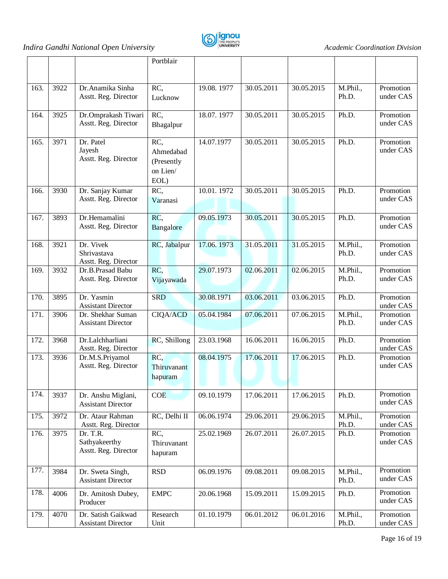



|      |      |                                                   | Portblair                                          |            |            |            |                   |                        |
|------|------|---------------------------------------------------|----------------------------------------------------|------------|------------|------------|-------------------|------------------------|
| 163. | 3922 | Dr.Anamika Sinha<br>Asstt. Reg. Director          | RC,<br>Lucknow                                     | 19.08.1977 | 30.05.2011 | 30.05.2015 | M.Phil.,<br>Ph.D. | Promotion<br>under CAS |
| 164. | 3925 | Dr.Omprakash Tiwari<br>Asstt. Reg. Director       | RC,<br>Bhagalpur                                   | 18.07.1977 | 30.05.2011 | 30.05.2015 | Ph.D.             | Promotion<br>under CAS |
| 165. | 3971 | Dr. Patel<br>Jayesh<br>Asstt. Reg. Director       | RC,<br>Ahmedabad<br>(Presently<br>on Lien/<br>EOL) | 14.07.1977 | 30.05.2011 | 30.05.2015 | Ph.D.             | Promotion<br>under CAS |
| 166. | 3930 | Dr. Sanjay Kumar<br>Asstt. Reg. Director          | RC,<br>Varanasi                                    | 10.01.1972 | 30.05.2011 | 30.05.2015 | Ph.D.             | Promotion<br>under CAS |
| 167. | 3893 | Dr.Hemamalini<br>Asstt. Reg. Director             | RC,<br>Bangalore                                   | 09.05.1973 | 30.05.2011 | 30.05.2015 | Ph.D.             | Promotion<br>under CAS |
| 168. | 3921 | Dr. Vivek<br>Shrivastava<br>Asstt. Reg. Director  | RC, Jabalpur                                       | 17.06.1973 | 31.05.2011 | 31.05.2015 | M.Phil.,<br>Ph.D. | Promotion<br>under CAS |
| 169. | 3932 | Dr.B.Prasad Babu<br>Asstt. Reg. Director          | RC.<br>Vijayawada                                  | 29.07.1973 | 02.06.2011 | 02.06.2015 | M.Phil.,<br>Ph.D. | Promotion<br>under CAS |
| 170. | 3895 | Dr. Yasmin<br><b>Assistant Director</b>           | <b>SRD</b>                                         | 30.08.1971 | 03.06.2011 | 03.06.2015 | Ph.D.             | Promotion<br>under CAS |
| 171. | 3906 | Dr. Shekhar Suman<br><b>Assistant Director</b>    | <b>CIQA/ACD</b>                                    | 05.04.1984 | 07.06.2011 | 07.06.2015 | M.Phil.,<br>Ph.D. | Promotion<br>under CAS |
| 172. | 3968 | Dr.Lalchharliani<br>Asstt. Reg. Director          | RC, Shillong                                       | 23.03.1968 | 16.06.2011 | 16.06.2015 | Ph.D.             | Promotion<br>under CAS |
| 173. | 3936 | Dr.M.S.Priyamol<br>Asstt. Reg. Director           | RC,<br>Thiruvanant<br>hapuram                      | 08.04.1975 | 17.06.2011 | 17.06.2015 | Ph.D.             | Promotion<br>under CAS |
| 174. | 3937 | Dr. Anshu Miglani,<br><b>Assistant Director</b>   | COE                                                | 09.10.1979 | 17.06.2011 | 17.06.2015 | Ph.D.             | Promotion<br>under CAS |
| 175. | 3972 | Dr. Ataur Rahman<br>Asstt. Reg. Director          | RC, Delhi II                                       | 06.06.1974 | 29.06.2011 | 29.06.2015 | M.Phil.,<br>Ph.D. | Promotion<br>under CAS |
| 176. | 3975 | Dr. T.R.<br>Sathyakeerthy<br>Asstt. Reg. Director | RC,<br>Thiruvanant<br>hapuram                      | 25.02.1969 | 26.07.2011 | 26.07.2015 | Ph.D.             | Promotion<br>under CAS |
| 177. | 3984 | Dr. Sweta Singh,<br><b>Assistant Director</b>     | <b>RSD</b>                                         | 06.09.1976 | 09.08.2011 | 09.08.2015 | M.Phil.,<br>Ph.D. | Promotion<br>under CAS |
| 178. | 4006 | Dr. Amitosh Dubey,<br>Producer                    | <b>EMPC</b>                                        | 20.06.1968 | 15.09.2011 | 15.09.2015 | Ph.D.             | Promotion<br>under CAS |
| 179. | 4070 | Dr. Satish Gaikwad<br><b>Assistant Director</b>   | Research<br>Unit                                   | 01.10.1979 | 06.01.2012 | 06.01.2016 | M.Phil.,<br>Ph.D. | Promotion<br>under CAS |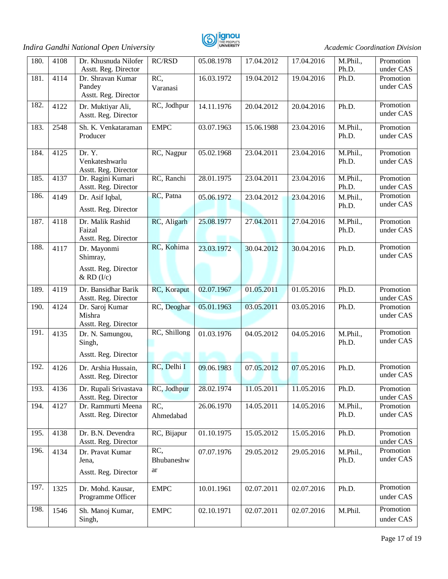

| 180. | 4108 | Dr. Khusnuda Nilofer<br>Asstt. Reg. Director                      | <b>RC/RSD</b>           | 05.08.1978 | 17.04.2012 | 17.04.2016 | M.Phil.,<br>Ph.D. | Promotion<br>under CAS |
|------|------|-------------------------------------------------------------------|-------------------------|------------|------------|------------|-------------------|------------------------|
| 181. | 4114 | Dr. Shravan Kumar<br>Pandey<br>Asstt. Reg. Director               | RC,<br>Varanasi         | 16.03.1972 | 19.04.2012 | 19.04.2016 | Ph.D.             | Promotion<br>under CAS |
| 182. | 4122 | Dr. Muktiyar Ali,<br>Asstt. Reg. Director                         | RC, Jodhpur             | 14.11.1976 | 20.04.2012 | 20.04.2016 | Ph.D.             | Promotion<br>under CAS |
| 183. | 2548 | Sh. K. Venkataraman<br>Producer                                   | <b>EMPC</b>             | 03.07.1963 | 15.06.1988 | 23.04.2016 | M.Phil.,<br>Ph.D. | Promotion<br>under CAS |
| 184. | 4125 | Dr. Y.<br>Venkateshwarlu<br>Asstt. Reg. Director                  | RC, Nagpur              | 05.02.1968 | 23.04.2011 | 23.04.2016 | M.Phil.,<br>Ph.D. | Promotion<br>under CAS |
| 185. | 4137 | Dr. Ragini Kumari<br>Asstt. Reg. Director                         | RC, Ranchi              | 28.01.1975 | 23.04.2011 | 23.04.2016 | M.Phil.,<br>Ph.D. | Promotion<br>under CAS |
| 186. | 4149 | Dr. Asif Iqbal,<br>Asstt. Reg. Director                           | RC, Patna               | 05.06.1972 | 23.04.2012 | 23.04.2016 | M.Phil.,<br>Ph.D. | Promotion<br>under CAS |
| 187. | 4118 | Dr. Malik Rashid<br>Faizal<br>Asstt. Reg. Director                | RC, Aligarh             | 25.08.1977 | 27.04.2011 | 27.04.2016 | M.Phil.,<br>Ph.D. | Promotion<br>under CAS |
| 188. | 4117 | Dr. Mayonmi<br>Shimray,<br>Asstt. Reg. Director<br>$&$ RD $(I/c)$ | RC, Kohima              | 23.03.1972 | 30.04.2012 | 30.04.2016 | Ph.D.             | Promotion<br>under CAS |
| 189. | 4119 | Dr. Bansidhar Barik<br>Asstt. Reg. Director                       | RC, Koraput             | 02.07.1967 | 01.05.2011 | 01.05.2016 | Ph.D.             | Promotion<br>under CAS |
| 190. | 4124 | Dr. Saroj Kumar<br>Mishra<br>Asstt. Reg. Director                 | RC, Deoghar             | 05.01.1963 | 03.05.2011 | 03.05.2016 | Ph.D.             | Promotion<br>under CAS |
| 191. | 4135 | Dr. N. Samungou,<br>Singh,<br>Asstt. Reg. Director                | RC, Shillong            | 01.03.1976 | 04.05.2012 | 04.05.2016 | M.Phil.,<br>Ph.D. | Promotion<br>under CAS |
| 192. | 4126 | Dr. Arshia Hussain,<br>Asstt. Reg. Director                       | RC, Delhi I             | 09.06.1983 | 07.05.2012 | 07.05.2016 | Ph.D.             | Promotion<br>under CAS |
| 193. | 4136 | Dr. Rupali Srivastava<br>Asstt. Reg. Director                     | RC, Jodhpur             | 28.02.1974 | 11.05.2011 | 11.05.2016 | Ph.D.             | Promotion<br>under CAS |
| 194. | 4127 | Dr. Rammurti Meena<br>Asstt. Reg. Director                        | RC,<br>Ahmedabad        | 26.06.1970 | 14.05.2011 | 14.05.2016 | M.Phil.,<br>Ph.D. | Promotion<br>under CAS |
| 195. | 4138 | Dr. B.N. Devendra<br>Asstt. Reg. Director                         | RC, Bijapur             | 01.10.1975 | 15.05.2012 | 15.05.2016 | Ph.D.             | Promotion<br>under CAS |
| 196. | 4134 | Dr. Pravat Kumar<br>Jena,<br>Asstt. Reg. Director                 | RC,<br>Bhubaneshw<br>ar | 07.07.1976 | 29.05.2012 | 29.05.2016 | M.Phil.,<br>Ph.D. | Promotion<br>under CAS |
| 197. | 1325 | Dr. Mohd. Kausar,<br>Programme Officer                            | <b>EMPC</b>             | 10.01.1961 | 02.07.2011 | 02.07.2016 | Ph.D.             | Promotion<br>under CAS |
| 198. | 1546 | Sh. Manoj Kumar,<br>Singh,                                        | <b>EMPC</b>             | 02.10.1971 | 02.07.2011 | 02.07.2016 | M.Phil.           | Promotion<br>under CAS |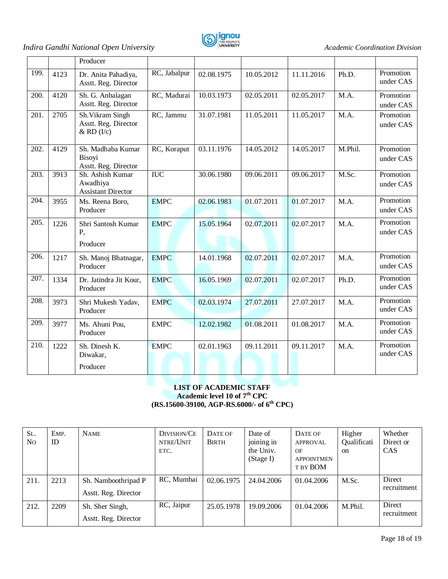

|      |      | Producer                                                   |                  |            |            |            |         |                        |
|------|------|------------------------------------------------------------|------------------|------------|------------|------------|---------|------------------------|
| 199. | 4123 | Dr. Anita Pahadiya,<br>Asstt. Reg. Director                | RC, Jabalpur     | 02.08.1975 | 10.05.2012 | 11.11.2016 | Ph.D.   | Promotion<br>under CAS |
| 200. | 4120 | Sh. G. Anbalagan<br>Asstt. Reg. Director                   | RC, Madurai      | 10.03.1973 | 02.05.2011 | 02.05.2017 | M.A.    | Promotion<br>under CAS |
| 201. | 2705 | Sh. Vikram Singh<br>Asstt. Reg. Director<br>$&$ RD $(I/c)$ | RC, Jammu        | 31.07.1981 | 11.05.2011 | 11.05.2017 | M.A.    | Promotion<br>under CAS |
| 202. | 4129 | Sh. Madhaba Kumar<br>Bisoyi<br>Asstt. Reg. Director        | RC, Koraput      | 03.11.1976 | 14.05.2012 | 14.05.2017 | M.Phil. | Promotion<br>under CAS |
| 203. | 3913 | Sh. Ashish Kumar<br>Awadhiya<br><b>Assistant Director</b>  | $\overline{IUC}$ | 30.06.1980 | 09.06.2011 | 09.06.2017 | M.Sc.   | Promotion<br>under CAS |
| 204. | 3955 | Ms. Reena Boro,<br>Producer                                | <b>EMPC</b>      | 02.06.1983 | 01.07.2011 | 01.07.2017 | M.A.    | Promotion<br>under CAS |
| 205. | 1226 | Shri Santosh Kumar<br>P,<br>Producer                       | <b>EMPC</b>      | 15.05.1964 | 02.07.2011 | 02.07.2017 | M.A.    | Promotion<br>under CAS |
| 206. | 1217 | Sh. Manoj Bhatnagar,<br>Producer                           | <b>EMPC</b>      | 14.01.1968 | 02.07.2011 | 02.07.2017 | M.A.    | Promotion<br>under CAS |
| 207. | 1334 | Dr. Jatindra Jit Kour,<br>Producer                         | <b>EMPC</b>      | 16.05.1969 | 02.07.2011 | 02.07.2017 | Ph.D.   | Promotion<br>under CAS |
| 208. | 3973 | Shri Mukesh Yadav,<br>Producer                             | <b>EMPC</b>      | 02.03.1974 | 27.07.2011 | 27.07.2017 | M.A.    | Promotion<br>under CAS |
| 209. | 3977 | Ms. Ahuni Pou,<br>Producer                                 | <b>EMPC</b>      | 12.02.1982 | 01.08.2011 | 01.08.2017 | M.A.    | Promotion<br>under CAS |
| 210. | 1222 | Sh. Dinesh K.<br>Diwakar,<br>Producer                      | <b>EMPC</b>      | 02.01.1963 | 09.11.2011 | 09.11.2017 | M.A.    | Promotion<br>under CAS |

#### **LIST OF ACADEMIC STAFF Academic level 10 of 7th CPC (RS.15600-39100, AGP-RS.6000/- of 6th CPC)**

| SL.<br>N <sub>O</sub> | EMP.<br>ID | <b>NAME</b>                                 | DIVISION/CE<br>NTRE/UNIT<br>ETC. | DATE OF<br><b>BIRTH</b> | Date of<br>joining in<br>the Univ.<br>(Stage I) | DATE OF<br><b>APPROVAL</b><br>OF<br><b>APPOINTMEN</b><br>T BY BOM | Higher<br>Qualificati<br><sub>on</sub> | Whether<br>Direct or<br><b>CAS</b> |
|-----------------------|------------|---------------------------------------------|----------------------------------|-------------------------|-------------------------------------------------|-------------------------------------------------------------------|----------------------------------------|------------------------------------|
| 211.                  | 2213       | Sh. Namboothripad P<br>Asstt. Reg. Director | RC, Mumbai                       | 02.06.1975              | 24,04,2006                                      | 01.04.2006                                                        | M.Sc.                                  | Direct<br>recruitment              |
| 212.                  | 2209       | Sh. Sher Singh,<br>Asstt. Reg. Director     | RC, Jaipur                       | 25.05.1978              | 19.09.2006                                      | 01.04.2006                                                        | M.Phil.                                | Direct<br>recruitment              |